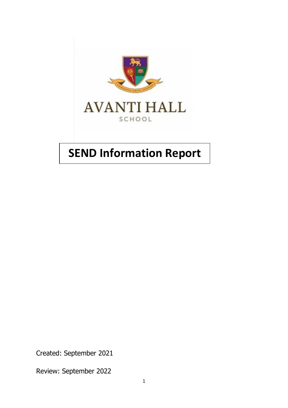

# **SEND Information Report**

Created: September 2021

Review: September 2022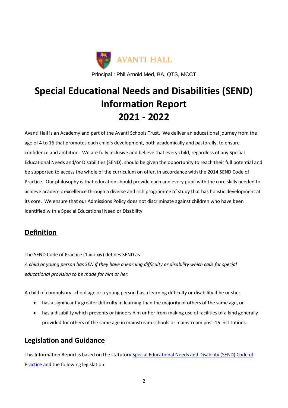

# **Special Educational Needs and Disabilities (SEND) Information Report 2021 - 2022**

Avanti Hall is an Academy and part of the Avanti Schools Trust. We deliver an educational journey from the age of 4 to 16 that promotes each child's development, both academically and pastorally, to ensure confidence and ambition. We are fully inclusive and believe that every child, regardless of any Special Educational Needs and/or Disabilities (SEND), should be given the opportunity to reach their full potential and be supported to access the whole of the curriculum on offer, in accordance with the 2014 SEND Code of Practice. Our philosophy is that education should provide each and every pupil with the core skills needed to achieve academic excellence through a diverse and rich programme of study that has holistic development at its core. We ensure that our Admissions Policy does not discriminate against children who have been identified with a Special Educational Need or Disability.

#### **Definition**

The SEND Code of Practice (1.xiii-xiv) defines SEND as:

*A child or young person has SEN if they have a learning difficulty or disability which calls for special educational provision to be made for him or her.*

A child of compulsory school age or a young person has a learning difficulty or disability if he or she:

- has a significantly greater difficulty in learning than the majority of others of the same age, or
- has a disability which prevents or hinders him or her from making use of facilities of a kind generally provided for others of the same age in mainstream schools or mainstream post-16 institutions.

#### **Legislation and Guidance**

This Information Report is based on the statutory [Special Educational Needs and Disability \(SEND\) Code of](about:blank)  [Practice](about:blank) and the following legislation: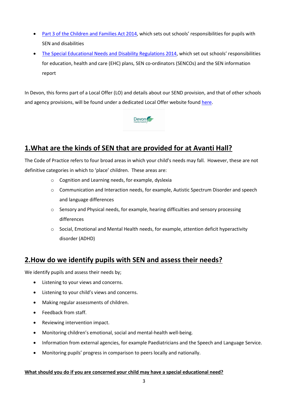- [Part 3 of the Children and Families Act 2014](about:blank), which sets out schools' responsibilities for pupils with SEN and disabilities
- [The Special Educational Needs and Disability Regulations 2014](about:blank), which set out schools' responsibilities for education, health and care (EHC) plans, SEN co-ordinators (SENCOs) and the SEN information report

In Devon, this forms part of a Local Offer (LO) and details about our SEND provision, and that of other schools and agency provisions, will be found under a dedicated Local Offer website found [here.](about:blank)



#### **1.What are the kinds of SEN that are provided for at Avanti Hall?**

The Code of Practice refers to four broad areas in which your child's needs may fall. However, these are not definitive categories in which to 'place' children. These areas are:

- o Cognition and Learning needs, for example, dyslexia
- o Communication and Interaction needs, for example, Autistic Spectrum Disorder and speech and language differences
- $\circ$  Sensory and Physical needs, for example, hearing difficulties and sensory processing differences
- $\circ$  Social, Emotional and Mental Health needs, for example, attention deficit hyperactivity disorder (ADHD)

#### **2.How do we identify pupils with SEN and assess their needs?**

We identify pupils and assess their needs by;

- Listening to your views and concerns.
- Listening to your child's views and concerns.
- Making regular assessments of children.
- Feedback from staff.
- Reviewing intervention impact.
- Monitoring children's emotional, social and mental-health well-being.
- Information from external agencies, for example Paediatricians and the Speech and Language Service.
- Monitoring pupils' progress in comparison to peers locally and nationally.

#### **What should you do if you are concerned your child may have a special educational need?**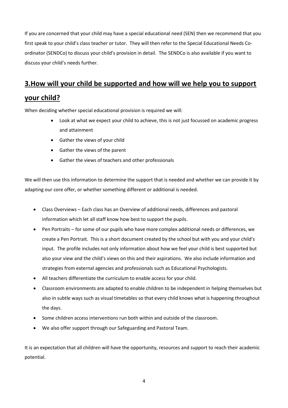If you are concerned that your child may have a special educational need (SEN) then we recommend that you first speak to your child's class teacher or tutor. They will then refer to the Special Educational Needs Coordinator (SENDCo) to discuss your child's provision in detail. The SENDCo is also available if you want to discuss your child's needs further.

#### **3.How will your child be supported and how will we help you to support**

#### **your child?**

When deciding whether special educational provision is required we will:

- Look at what we expect your child to achieve, this is not just focussed on academic progress and attainment
- Gather the views of your child
- Gather the views of the parent
- Gather the views of teachers and other professionals

We will then use this information to determine the support that is needed and whether we can provide it by adapting our core offer, or whether something different or additional is needed.

- Class Overviews Each class has an Overview of additional needs, differences and pastoral information which let all staff know how best to support the pupils.
- Pen Portraits for some of our pupils who have more complex additional needs or differences, we create a Pen Portrait. This is a short document created by the school but with you and your child's input. The profile includes not only information about how we feel your child is best supported but also your view and the child's views on this and their aspirations. We also include information and strategies from external agencies and professionals such as Educational Psychologists.
- All teachers differentiate the curriculum to enable access for your child.
- Classroom environments are adapted to enable children to be independent in helping themselves but also in subtle ways such as visual timetables so that every child knows what is happening throughout the days.
- Some children access interventions run both within and outside of the classroom.
- We also offer support through our Safeguarding and Pastoral Team.

It is an expectation that all children will have the opportunity, resources and support to reach their academic potential.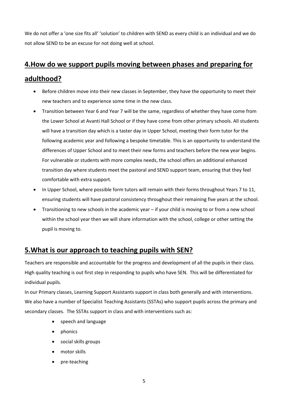We do not offer a 'one size fits all' 'solution' to children with SEND as every child is an individual and we do not allow SEND to be an excuse for not doing well at school.

### **4.How do we support pupils moving between phases and preparing for**

#### **adulthood?**

- Before children move into their new classes in September, they have the opportunity to meet their new teachers and to experience some time in the new class.
- Transition between Year 6 and Year 7 will be the same, regardless of whether they have come from the Lower School at Avanti Hall School or if they have come from other primary schools. All students will have a transition day which is a taster day in Upper School, meeting their form tutor for the following academic year and following a bespoke timetable. This is an opportunity to understand the differences of Upper School and to meet their new forms and teachers before the new year begins. For vulnerable or students with more complex needs, the school offers an additional enhanced transition day where students meet the pastoral and SEND support team, ensuring that they feel comfortable with extra support.
- In Upper School, where possible form tutors will remain with their forms throughout Years 7 to 11, ensuring students will have pastoral consistency throughout their remaining five years at the school.
- Transitioning to new schools in the academic year if your child is moving to or from a new school within the school year then we will share information with the school, college or other setting the pupil is moving to.

#### **5.What is our approach to teaching pupils with SEN?**

Teachers are responsible and accountable for the progress and development of all the pupils in their class. High quality teaching is out first step in responding to pupils who have SEN. This will be differentiated for individual pupils.

In our Primary classes, Learning Support Assistants support in class both generally and with interventions. We also have a number of Specialist Teaching Assistants (SSTAs) who support pupils across the primary and secondary classes. The SSTAs support in class and with interventions such as:

- speech and language
- phonics
- social skills groups
- motor skills
- pre-teaching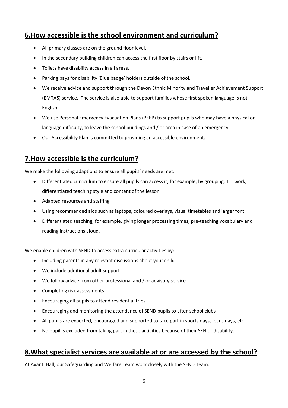#### **6.How accessible is the school environment and curriculum?**

- All primary classes are on the ground floor level.
- In the secondary building children can access the first floor by stairs or lift.
- Toilets have disability access in all areas.
- Parking bays for disability 'Blue badge' holders outside of the school.
- We receive advice and support through the Devon Ethnic Minority and Traveller Achievement Support (EMTAS) service. The service is also able to support families whose first spoken language is not English.
- We use Personal Emergency Evacuation Plans (PEEP) to support pupils who may have a physical or language difficulty, to leave the school buildings and / or area in case of an emergency.
- Our Accessibility Plan is committed to providing an accessible environment.

#### **7.How accessible is the curriculum?**

We make the following adaptions to ensure all pupils' needs are met:

- Differentiated curriculum to ensure all pupils can access it, for example, by grouping, 1:1 work, differentiated teaching style and content of the lesson.
- Adapted resources and staffing.
- Using recommended aids such as laptops, coloured overlays, visual timetables and larger font.
- Differentiated teaching, for example, giving longer processing times, pre-teaching vocabulary and reading instructions aloud.

We enable children with SEND to access extra-curricular activities by:

- Including parents in any relevant discussions about your child
- We include additional adult support
- We follow advice from other professional and / or advisory service
- Completing risk assessments
- Encouraging all pupils to attend residential trips
- Encouraging and monitoring the attendance of SEND pupils to after-school clubs
- All pupils are expected, encouraged and supported to take part in sports days, focus days, etc
- No pupil is excluded from taking part in these activities because of their SEN or disability.

#### **8.What specialist services are available at or are accessed by the school?**

At Avanti Hall, our Safeguarding and Welfare Team work closely with the SEND Team.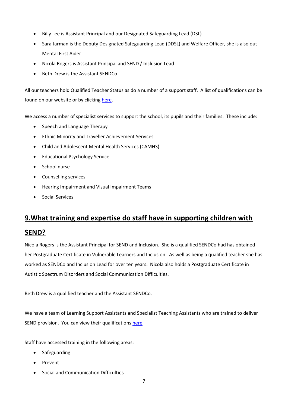- Billy Lee is Assistant Principal and our Designated Safeguarding Lead (DSL)
- Sara Jarman is the Deputy Designated Safeguarding Lead (DDSL) and Welfare Officer, she is also out Mental First Aider
- Nicola Rogers is Assistant Principal and SEND / Inclusion Lead
- Beth Drew is the Assistant SENDCo

All our teachers hold Qualified Teacher Status as do a number of a support staff. A list of qualifications can be found on our website or by clicking [here.](about:blank)

We access a number of specialist services to support the school, its pupils and their families. These include:

- Speech and Language Therapy
- Ethnic Minority and Traveller Achievement Services
- Child and Adolescent Mental Health Services (CAMHS)
- **•** Educational Psychology Service
- School nurse
- Counselling services
- Hearing Impairment and Visual Impairment Teams
- Social Services

#### **9.What training and expertise do staff have in supporting children with**

#### **SEND?**

Nicola Rogers is the Assistant Principal for SEND and Inclusion. She is a qualified SENDCo had has obtained her Postgraduate Certificate in Vulnerable Learners and Inclusion. As well as being a qualified teacher she has worked as SENDCo and Inclusion Lead for over ten years. Nicola also holds a Postgraduate Certificate in Autistic Spectrum Disorders and Social Communication Difficulties.

Beth Drew is a qualified teacher and the Assistant SENDCo.

We have a team of Learning Support Assistants and Specialist Teaching Assistants who are trained to deliver SEND provision. You can view their qualifications [here.](about:blank)

Staff have accessed training in the following areas:

- Safeguarding
- Prevent
- Social and Communication Difficulties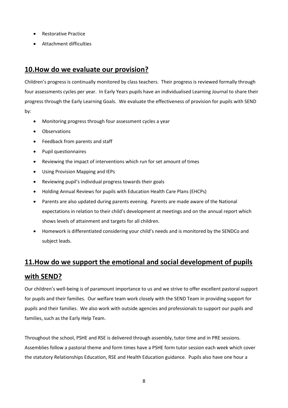- Restorative Practice
- Attachment difficulties

#### **10.How do we evaluate our provision?**

Children's progress is continually monitored by class teachers. Their progress is reviewed formally through four assessments cycles per year. In Early Years pupils have an individualised Learning Journal to share their progress through the Early Learning Goals. We evaluate the effectiveness of provision for pupils with SEND by:

- Monitoring progress through four assessment cycles a year
- Observations
- Feedback from parents and staff
- Pupil questionnaires
- Reviewing the impact of interventions which run for set amount of times
- Using Provision Mapping and IEPs
- Reviewing pupil's individual progress towards their goals
- Holding Annual Reviews for pupils with Education Health Care Plans (EHCPs)
- Parents are also updated during parents evening. Parents are made aware of the National expectations in relation to their child's development at meetings and on the annual report which shows levels of attainment and targets for all children.
- Homework is differentiated considering your child's needs and is monitored by the SENDCo and subject leads.

## **11.How do we support the emotional and social development of pupils with SEND?**

Our children's well-being is of paramount importance to us and we strive to offer excellent pastoral support for pupils and their families. Our welfare team work closely with the SEND Team in providing support for pupils and their families. We also work with outside agencies and professionals to support our pupils and families, such as the Early Help Team.

Throughout the school, PSHE and RSE is delivered through assembly, tutor time and in PRE sessions. Assemblies follow a pastoral theme and form times have a PSHE form tutor session each week which cover the statutory Relationships Education, RSE and Health Education guidance. Pupils also have one hour a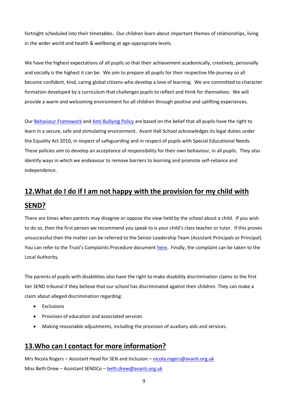fortnight scheduled into their timetables. Our children learn about important themes of relationships, living in the wider world and health & wellbeing at age-appropriate levels.

We have the highest expectations of all pupils so that their achievement academically, creatively, personally and socially is the highest it can be. We aim to prepare all pupils for their respective life-journey so all become confident, kind, caring global citizens who develop a love of learning. We are committed to character formation developed by a curriculum that challenges pupils to reflect and think for themselves. We will provide a warm and welcoming environment for all children through positive and uplifting experiences.

Our [Behaviour Framework](about:blank) and [Anti-Bullying Policy](about:blank) are based on the belief that all pupils have the right to learn in a secure, safe and stimulating environment. Avant Hall School acknowledges its legal duties under the Equality Act 2010, in respect of safeguarding and in respect of pupils with Special Educational Needs. These policies aim to develop an acceptance of responsibility for their own behaviour, in all pupils. They also identify ways in which we endeavour to remove barriers to learning and promote self-reliance and independence.

### **12.What do I do if I am not happy with the provision for my child with SEND?**

There are times when parents may disagree or oppose the view held by the school about a child. If you wish to do so, then the first person we recommend you speak to is your child's class teacher or tutor. If this proves unsuccessful then the matter can be referred to the Senior Leadership Team (Assistant Principals or Principal). You can refer to the Trust's Complaints Procedure document [here.](about:blank) Finally, the complaint can be taken to the Local Authority.

The parents of pupils with disabilities also have the right to make disability discrimination claims to the first tier SEND tribunal if they believe that our school has discriminated against their children. They can make a claim about alleged discrimination regarding:

- Exclusions
- Provision of education and associated services
- Making reasonable adjustments, including the provision of auxiliary aids and services.

#### **13.Who can I contact for more information?**

Mrs Nicola Rogers – Assistant Head for SEN and Inclusion – [nicola.rogers@avanti.org.uk](about:blank) Miss Beth Drew - Assistant SENDCo - [beth.drew@avanti.org.uk](about:blank)